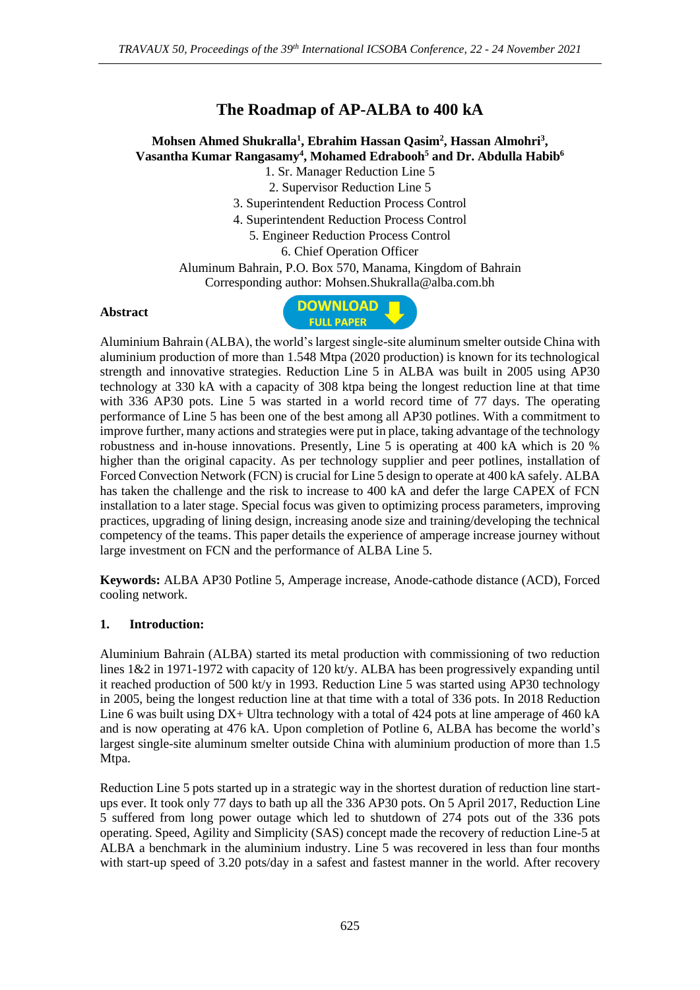# **The Roadmap of AP-ALBA to 400 kA**

# **Mohsen Ahmed Shukralla<sup>1</sup> , Ebrahim Hassan Qasim<sup>2</sup> , Hassan Almohri<sup>3</sup> , Vasantha Kumar Rangasamy<sup>4</sup> , Mohamed Edrabooh<sup>5</sup> and Dr. Abdulla Habib<sup>6</sup>** 1. Sr. Manager Reduction Line 5

2. Supervisor Reduction Line 5

3. Superintendent Reduction Process Control

4. Superintendent Reduction Process Control

5. Engineer Reduction Process Control

6. Chief Operation Officer

Aluminum Bahrain, P.O. Box 570, Manama, Kingdom of Bahrain

Corresponding author: Mohsen.Shukralla@alba.com.bh

#### **Abstract**



Aluminium Bahrain (ALBA), the world's largest single-site aluminum smelter outside China with aluminium production of more than 1.548 Mtpa (2020 production) is known for its technological strength and innovative strategies. Reduction Line 5 in ALBA was built in 2005 using AP30 technology at 330 kA with a capacity of 308 ktpa being the longest reduction line at that time with 336 AP30 pots. Line 5 was started in a world record time of 77 days. The operating performance of Line 5 has been one of the best among all AP30 potlines. With a commitment to improve further, many actions and strategies were put in place, taking advantage of the technology robustness and in-house innovations. Presently, Line 5 is operating at 400 kA which is 20 % higher than the original capacity. As per technology supplier and peer potlines, installation of Forced Convection Network (FCN) is crucial for Line 5 design to operate at 400 kA safely. ALBA has taken the challenge and the risk to increase to 400 kA and defer the large CAPEX of FCN installation to a later stage. Special focus was given to optimizing process parameters, improving practices, upgrading of lining design, increasing anode size and training/developing the technical competency of the teams. This paper details the experience of amperage increase journey without large investment on FCN and the performance of ALBA Line 5.

**Keywords:** ALBA AP30 Potline 5, Amperage increase, Anode-cathode distance (ACD), Forced cooling network.

#### **1. Introduction:**

Aluminium Bahrain (ALBA) started its metal production with commissioning of two reduction lines 1&2 in 1971-1972 with capacity of 120 kt/y. ALBA has been progressively expanding until it reached production of 500 kt/y in 1993. Reduction Line 5 was started using AP30 technology in 2005, being the longest reduction line at that time with a total of 336 pots. In 2018 Reduction Line 6 was built using DX+ Ultra technology with a total of 424 pots at line amperage of 460 kA and is now operating at 476 kA. Upon completion of Potline 6, ALBA has become the world's largest single-site aluminum smelter outside China with aluminium production of more than 1.5 Mtpa.

Reduction Line 5 pots started up in a strategic way in the shortest duration of reduction line startups ever. It took only 77 days to bath up all the 336 AP30 pots. On 5 April 2017, Reduction Line 5 suffered from long power outage which led to shutdown of 274 pots out of the 336 pots operating. Speed, Agility and Simplicity (SAS) concept made the recovery of reduction Line-5 at ALBA a benchmark in the aluminium industry. Line 5 was recovered in less than four months with start-up speed of 3.20 pots/day in a safest and fastest manner in the world. After recovery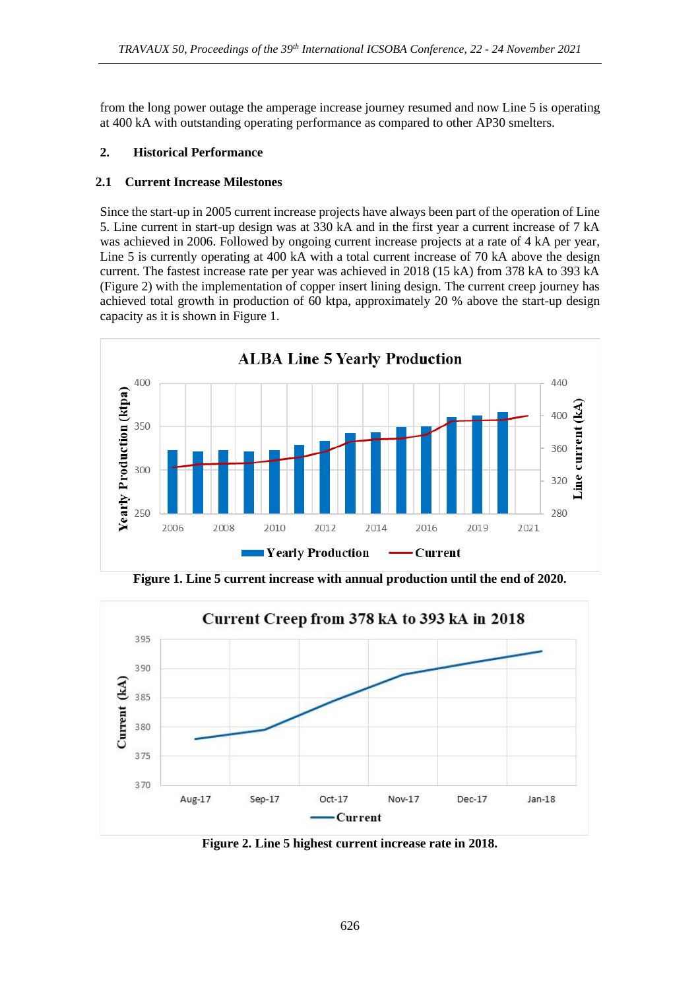from the long power outage the amperage increase journey resumed and now Line 5 is operating at 400 kA with outstanding operating performance as compared to other AP30 smelters.

# **2. Historical Performance**

## **2.1 Current Increase Milestones**

Since the start-up in 2005 current increase projects have always been part of the operation of Line 5. Line current in start-up design was at 330 kA and in the first year a current increase of 7 kA was achieved in 2006. Followed by ongoing current increase projects at a rate of 4 kA per year, Line 5 is currently operating at 400 kA with a total current increase of 70 kA above the design current. The fastest increase rate per year was achieved in 2018 (15 kA) from 378 kA to 393 kA (Figure 2) with the implementation of copper insert lining design. The current creep journey has achieved total growth in production of 60 ktpa, approximately 20 % above the start-up design capacity as it is shown in Figure 1.



**Figure 1. Line 5 current increase with annual production until the end of 2020.**



**Figure 2. Line 5 highest current increase rate in 2018.**